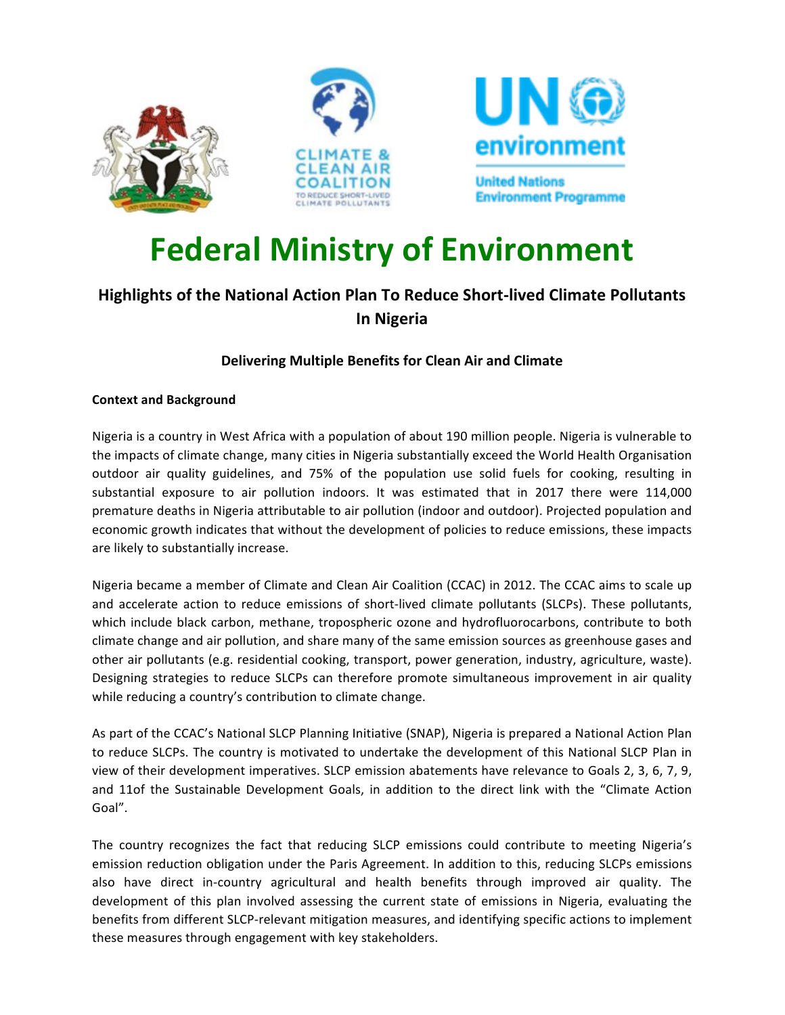



# **Federal Ministry of Environment**

# **Highlights of the National Action Plan To Reduce Short-lived Climate Pollutants In Nigeria**

## **Delivering Multiple Benefits for Clean Air and Climate**

### **Context and Background**

Nigeria is a country in West Africa with a population of about 190 million people. Nigeria is vulnerable to the impacts of climate change, many cities in Nigeria substantially exceed the World Health Organisation outdoor air quality guidelines, and 75% of the population use solid fuels for cooking, resulting in substantial exposure to air pollution indoors. It was estimated that in 2017 there were 114,000 premature deaths in Nigeria attributable to air pollution (indoor and outdoor). Projected population and economic growth indicates that without the development of policies to reduce emissions, these impacts are likely to substantially increase.

Nigeria became a member of Climate and Clean Air Coalition (CCAC) in 2012. The CCAC aims to scale up and accelerate action to reduce emissions of short-lived climate pollutants (SLCPs). These pollutants, which include black carbon, methane, tropospheric ozone and hydrofluorocarbons, contribute to both climate change and air pollution, and share many of the same emission sources as greenhouse gases and other air pollutants (e.g. residential cooking, transport, power generation, industry, agriculture, waste). Designing strategies to reduce SLCPs can therefore promote simultaneous improvement in air quality while reducing a country's contribution to climate change.

As part of the CCAC's National SLCP Planning Initiative (SNAP), Nigeria is prepared a National Action Plan to reduce SLCPs. The country is motivated to undertake the development of this National SLCP Plan in view of their development imperatives. SLCP emission abatements have relevance to Goals 2, 3, 6, 7, 9, and 11of the Sustainable Development Goals, in addition to the direct link with the "Climate Action Goal". 

The country recognizes the fact that reducing SLCP emissions could contribute to meeting Nigeria's emission reduction obligation under the Paris Agreement. In addition to this, reducing SLCPs emissions also have direct in-country agricultural and health benefits through improved air quality. The development of this plan involved assessing the current state of emissions in Nigeria, evaluating the benefits from different SLCP-relevant mitigation measures, and identifying specific actions to implement these measures through engagement with key stakeholders.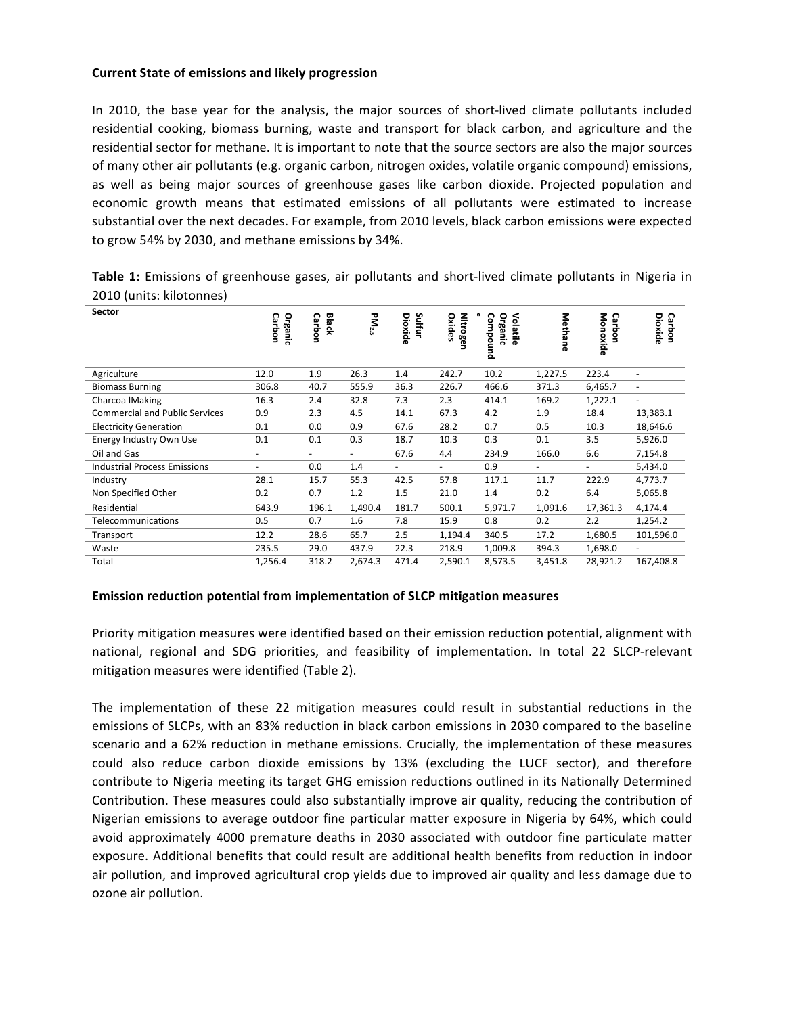#### **Current State of emissions and likely progression**

In 2010, the base year for the analysis, the major sources of short-lived climate pollutants included residential cooking, biomass burning, waste and transport for black carbon, and agriculture and the residential sector for methane. It is important to note that the source sectors are also the major sources of many other air pollutants (e.g. organic carbon, nitrogen oxides, volatile organic compound) emissions, as well as being major sources of greenhouse gases like carbon dioxide. Projected population and economic growth means that estimated emissions of all pollutants were estimated to increase substantial over the next decades. For example, from 2010 levels, black carbon emissions were expected to grow 54% by 2030, and methane emissions by 34%.

**Table 1:** Emissions of greenhouse gases, air pollutants and short-lived climate pollutants in Nigeria in 2010 (units: kilotonnes)

| <b>Sector</b>                         | <b>Organic</b><br>Carbon | Black<br>റ<br>uoque;     | PM <sub>2.5</sub>        | Sulfur<br>Dioxide | <b>Nitrogen</b><br><b>Oxides</b> | Compound<br><b>Organic</b><br>Volatile | Methane | Monoxide<br>Carbon | Dioxide<br>Carbon        |
|---------------------------------------|--------------------------|--------------------------|--------------------------|-------------------|----------------------------------|----------------------------------------|---------|--------------------|--------------------------|
| Agriculture                           | 12.0                     | 1.9                      | 26.3                     | 1.4               | 242.7                            | 10.2                                   | 1,227.5 | 223.4              | ٠                        |
| <b>Biomass Burning</b>                | 306.8                    | 40.7                     | 555.9                    | 36.3              | 226.7                            | 466.6                                  | 371.3   | 6,465.7            | $\overline{\phantom{a}}$ |
| Charcoa IMaking                       | 16.3                     | 2.4                      | 32.8                     | 7.3               | 2.3                              | 414.1                                  | 169.2   | 1,222.1            | $\blacksquare$           |
| <b>Commercial and Public Services</b> | 0.9                      | 2.3                      | 4.5                      | 14.1              | 67.3                             | 4.2                                    | 1.9     | 18.4               | 13,383.1                 |
| <b>Electricity Generation</b>         | 0.1                      | 0.0                      | 0.9                      | 67.6              | 28.2                             | 0.7                                    | 0.5     | 10.3               | 18,646.6                 |
| Energy Industry Own Use               | 0.1                      | 0.1                      | 0.3                      | 18.7              | 10.3                             | 0.3                                    | 0.1     | 3.5                | 5,926.0                  |
| Oil and Gas                           | $\overline{\phantom{a}}$ | $\overline{\phantom{a}}$ | $\overline{\phantom{a}}$ | 67.6              | 4.4                              | 234.9                                  | 166.0   | 6.6                | 7,154.8                  |
| <b>Industrial Process Emissions</b>   | ٠                        | 0.0                      | 1.4                      |                   |                                  | 0.9                                    | ۰       |                    | 5,434.0                  |
| Industry                              | 28.1                     | 15.7                     | 55.3                     | 42.5              | 57.8                             | 117.1                                  | 11.7    | 222.9              | 4,773.7                  |
| Non Specified Other                   | 0.2                      | 0.7                      | 1.2                      | 1.5               | 21.0                             | 1.4                                    | 0.2     | 6.4                | 5,065.8                  |
| Residential                           | 643.9                    | 196.1                    | 1,490.4                  | 181.7             | 500.1                            | 5,971.7                                | 1,091.6 | 17,361.3           | 4,174.4                  |
| Telecommunications                    | 0.5                      | 0.7                      | 1.6                      | 7.8               | 15.9                             | 0.8                                    | 0.2     | 2.2                | 1,254.2                  |
| Transport                             | 12.2                     | 28.6                     | 65.7                     | 2.5               | 1,194.4                          | 340.5                                  | 17.2    | 1,680.5            | 101,596.0                |
| Waste                                 | 235.5                    | 29.0                     | 437.9                    | 22.3              | 218.9                            | 1,009.8                                | 394.3   | 1,698.0            |                          |
| Total                                 | 1,256.4                  | 318.2                    | 2,674.3                  | 471.4             | 2,590.1                          | 8,573.5                                | 3,451.8 | 28,921.2           | 167,408.8                |

#### **Emission reduction potential from implementation of SLCP mitigation measures**

Priority mitigation measures were identified based on their emission reduction potential, alignment with national, regional and SDG priorities, and feasibility of implementation. In total 22 SLCP-relevant mitigation measures were identified (Table 2).

The implementation of these 22 mitigation measures could result in substantial reductions in the emissions of SLCPs, with an 83% reduction in black carbon emissions in 2030 compared to the baseline scenario and a 62% reduction in methane emissions. Crucially, the implementation of these measures could also reduce carbon dioxide emissions by 13% (excluding the LUCF sector), and therefore contribute to Nigeria meeting its target GHG emission reductions outlined in its Nationally Determined Contribution. These measures could also substantially improve air quality, reducing the contribution of Nigerian emissions to average outdoor fine particular matter exposure in Nigeria by 64%, which could avoid approximately 4000 premature deaths in 2030 associated with outdoor fine particulate matter exposure. Additional benefits that could result are additional health benefits from reduction in indoor air pollution, and improved agricultural crop yields due to improved air quality and less damage due to ozone air pollution.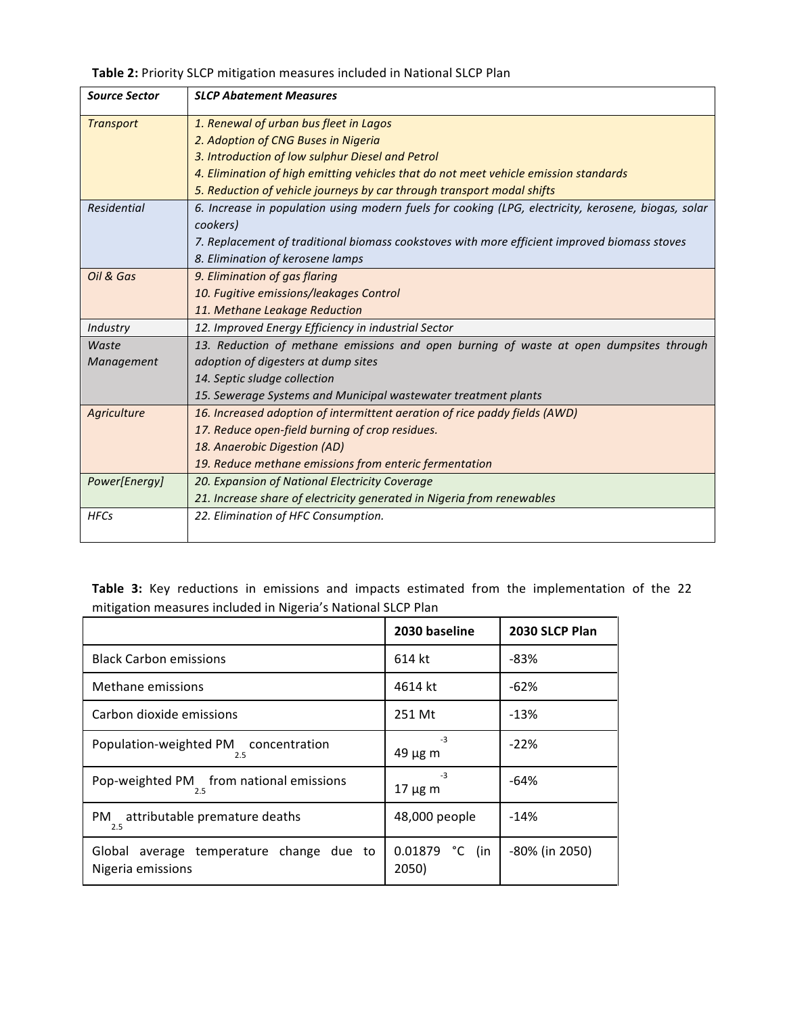Table 2: Priority SLCP mitigation measures included in National SLCP Plan

| <b>Source Sector</b> | <b>SLCP Abatement Measures</b>                                                                      |
|----------------------|-----------------------------------------------------------------------------------------------------|
| <b>Transport</b>     | 1. Renewal of urban bus fleet in Lagos                                                              |
|                      | 2. Adoption of CNG Buses in Nigeria                                                                 |
|                      | 3. Introduction of low sulphur Diesel and Petrol                                                    |
|                      | 4. Elimination of high emitting vehicles that do not meet vehicle emission standards                |
|                      | 5. Reduction of vehicle journeys by car through transport modal shifts                              |
| Residential          | 6. Increase in population using modern fuels for cooking (LPG, electricity, kerosene, biogas, solar |
|                      | cookers)                                                                                            |
|                      | 7. Replacement of traditional biomass cookstoves with more efficient improved biomass stoves        |
|                      | 8. Elimination of kerosene lamps                                                                    |
| Oil & Gas            | 9. Elimination of gas flaring                                                                       |
|                      | 10. Fugitive emissions/leakages Control                                                             |
|                      | 11. Methane Leakage Reduction                                                                       |
| Industry             | 12. Improved Energy Efficiency in industrial Sector                                                 |
| Waste                | 13. Reduction of methane emissions and open burning of waste at open dumpsites through              |
| Management           | adoption of digesters at dump sites                                                                 |
|                      | 14. Septic sludge collection                                                                        |
|                      | 15. Sewerage Systems and Municipal wastewater treatment plants                                      |
| Agriculture          | 16. Increased adoption of intermittent aeration of rice paddy fields (AWD)                          |
|                      | 17. Reduce open-field burning of crop residues.                                                     |
|                      | 18. Anaerobic Digestion (AD)                                                                        |
|                      | 19. Reduce methane emissions from enteric fermentation                                              |
| Power[Energy]        | 20. Expansion of National Electricity Coverage                                                      |
|                      | 21. Increase share of electricity generated in Nigeria from renewables                              |
| <b>HFCs</b>          | 22. Elimination of HFC Consumption.                                                                 |
|                      |                                                                                                     |

Table 3: Key reductions in emissions and impacts estimated from the implementation of the 22 mitigation measures included in Nigeria's National SLCP Plan

|                                                               | 2030 baseline              | 2030 SLCP Plan |  |
|---------------------------------------------------------------|----------------------------|----------------|--|
| <b>Black Carbon emissions</b>                                 | 614 kt                     | -83%           |  |
| Methane emissions                                             | 4614 kt                    | $-62%$         |  |
| Carbon dioxide emissions                                      | 251 Mt                     | $-13%$         |  |
| Population-weighted PM concentration<br>2.5                   | $-3$<br>$49 \mu g$ m       | $-22%$         |  |
| Pop-weighted PM from national emissions<br>2.5                | $-3$<br>$17 \mu g$ m       | $-64%$         |  |
| attributable premature deaths<br>PM.<br>2.5                   | 48,000 people              | $-14%$         |  |
| Global average temperature change due to<br>Nigeria emissions | 0.01879<br>°C (in<br>2050) | -80% (in 2050) |  |